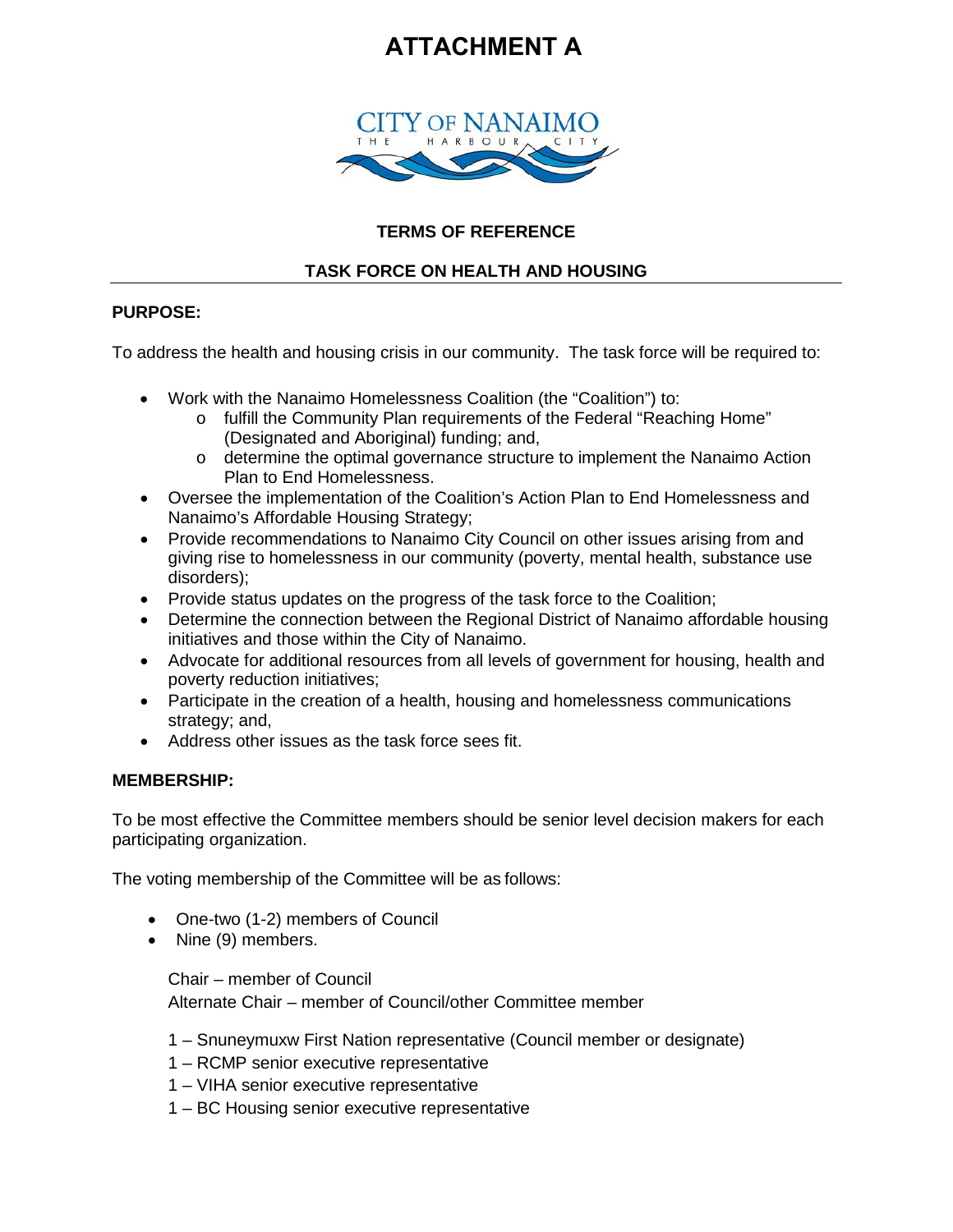# **ATTACHMENT A**



## **TERMS OF REFERENCE**

# **TASK FORCE ON HEALTH AND HOUSING**

## **PURPOSE:**

To address the health and housing crisis in our community. The task force will be required to:

- Work with the Nanaimo Homelessness Coalition (the "Coalition") to:
	- o fulfill the Community Plan requirements of the Federal "Reaching Home" (Designated and Aboriginal) funding; and,
	- o determine the optimal governance structure to implement the Nanaimo Action Plan to End Homelessness.
- Oversee the implementation of the Coalition's Action Plan to End Homelessness and Nanaimo's Affordable Housing Strategy;
- Provide recommendations to Nanaimo City Council on other issues arising from and giving rise to homelessness in our community (poverty, mental health, substance use disorders);
- Provide status updates on the progress of the task force to the Coalition;
- Determine the connection between the Regional District of Nanaimo affordable housing initiatives and those within the City of Nanaimo.
- Advocate for additional resources from all levels of government for housing, health and poverty reduction initiatives;
- Participate in the creation of a health, housing and homelessness communications strategy; and,
- Address other issues as the task force sees fit.

#### **MEMBERSHIP:**

To be most effective the Committee members should be senior level decision makers for each participating organization.

The voting membership of the Committee will be as follows:

- One-two (1-2) members of Council
- Nine (9) members.

Chair – member of Council Alternate Chair – member of Council/other Committee member

- 1 Snuneymuxw First Nation representative (Council member or designate)
- 1 RCMP senior executive representative
- 1 VIHA senior executive representative
- 1 BC Housing senior executive representative